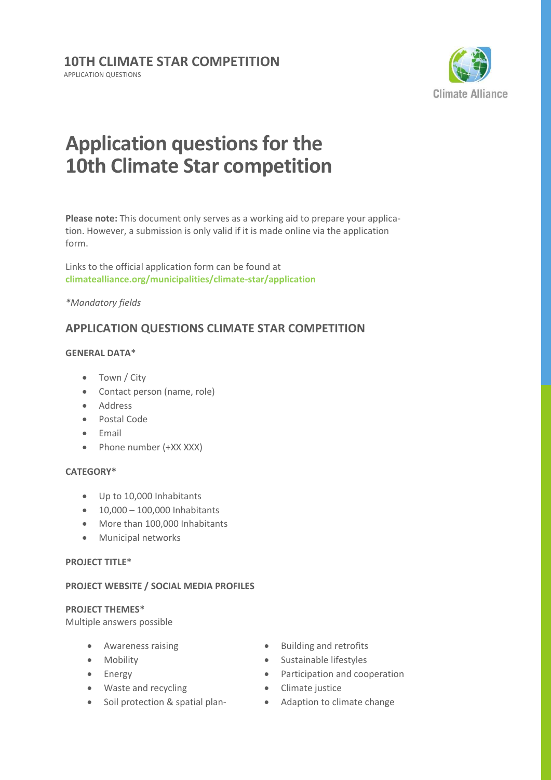

# **Application questions for the 10th Climate Star competition**

**Please note:** This document only serves as a working aid to prepare your application. However, a submission is only valid if it is made online via the application form.

Links to the official application form can be found at **[climatealliance.org/municipalities/climate-star/application](https://www.climatealliance.org/municipalities/climate-star/application.html)**

#### *\*Mandatory fields*

## **APPLICATION QUESTIONS CLIMATE STAR COMPETITION**

### **GENERAL DATA\***

- Town / City
- Contact person (name, role)
- Address
- Postal Code
- Email
- Phone number (+XX XXX)

#### **CATEGORY\***

- Up to 10,000 Inhabitants
- $-10,000 100,000$  Inhabitants
- More than 100,000 Inhabitants
- Municipal networks

#### **PROJECT TITLE\***

#### **PROJECT WEBSITE / SOCIAL MEDIA PROFILES**

#### **PROJECT THEMES\***

Multiple answers possible

- Awareness raising
- Mobility
- Energy
- Waste and recycling
- Soil protection & spatial plan-
- Building and retrofits
- Sustainable lifestyles
- Participation and cooperation
- Climate justice
- Adaption to climate change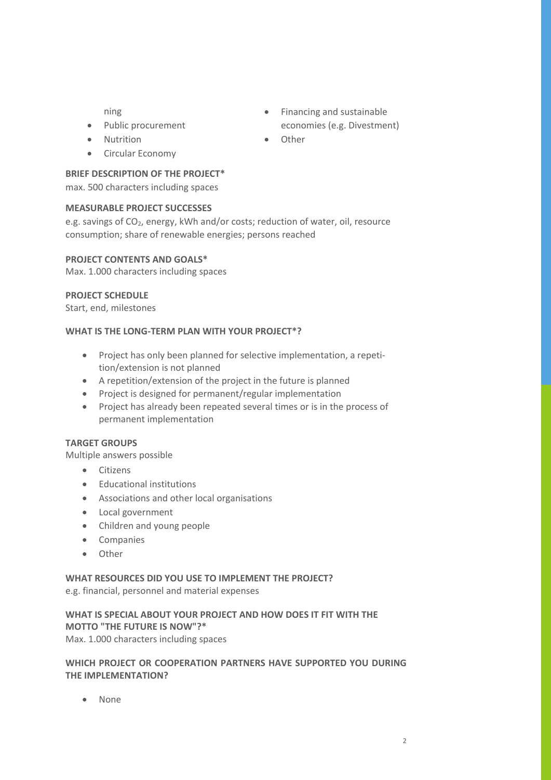ning

- Public procurement
- Nutrition
- Circular Economy

#### **BRIEF DESCRIPTION OF THE PROJECT\***

max. 500 characters including spaces

#### **MEASURABLE PROJECT SUCCESSES**

e.g. savings of CO<sub>2</sub>, energy, kWh and/or costs; reduction of water, oil, resource consumption; share of renewable energies; persons reached

#### **PROJECT CONTENTS AND GOALS\***

Max. 1.000 characters including spaces

#### **PROJECT SCHEDULE**

Start, end, milestones

#### **WHAT IS THE LONG-TERM PLAN WITH YOUR PROJECT\*?**

- Project has only been planned for selective implementation, a repetition/extension is not planned
- A repetition/extension of the project in the future is planned
- Project is designed for permanent/regular implementation
- Project has already been repeated several times or is in the process of permanent implementation

#### **TARGET GROUPS**

Multiple answers possible

- **•** Citizens
- Educational institutions
- Associations and other local organisations
- Local government
- Children and young people
- Companies
- Other

#### **WHAT RESOURCES DID YOU USE TO IMPLEMENT THE PROJECT?**

e.g. financial, personnel and material expenses

### **WHAT IS SPECIAL ABOUT YOUR PROJECT AND HOW DOES IT FIT WITH THE MOTTO "THE FUTURE IS NOW"?\***

Max. 1.000 characters including spaces

#### **WHICH PROJECT OR COOPERATION PARTNERS HAVE SUPPORTED YOU DURING THE IMPLEMENTATION?**

• None

- Financing and sustainable economies (e.g. Divestment)
- Other